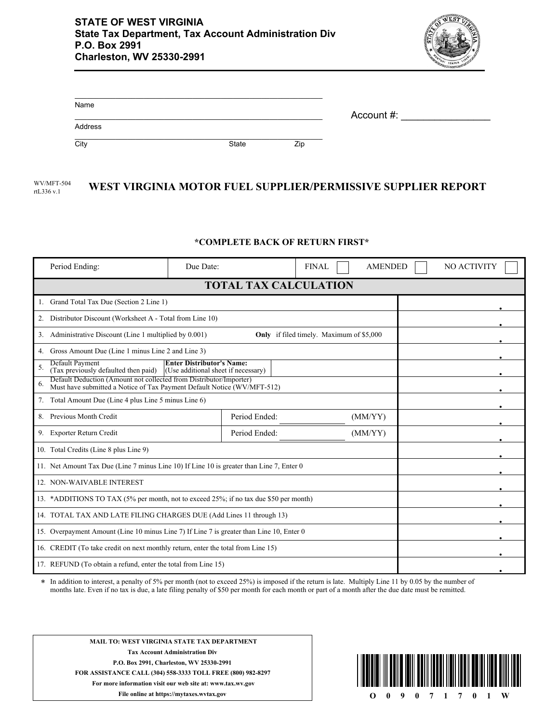

| Name    |       |     | Account #: |
|---------|-------|-----|------------|
| Address |       |     |            |
| City    | State | Zip |            |

## WV/MFT-504 WEST VIRGINIA MOTOR FUEL SUPPLIER/PERMISSIVE SUPPLIER REPORT rtL336 v.1

## **\*COMPLETE BACK OF RETURN FIRST\***

| Period Ending:                                                                                                                                      | Due Date: |               | <b>FINAL</b> | <b>AMENDED</b> |  | NO ACTIVITY |
|-----------------------------------------------------------------------------------------------------------------------------------------------------|-----------|---------------|--------------|----------------|--|-------------|
| <b>TOTAL TAX CALCULATION</b>                                                                                                                        |           |               |              |                |  |             |
| Grand Total Tax Due (Section 2 Line 1)                                                                                                              |           |               |              |                |  |             |
| Distributor Discount (Worksheet A - Total from Line 10)<br>2.                                                                                       |           |               |              |                |  |             |
| Administrative Discount (Line 1 multiplied by 0.001)<br>Only if filed timely. Maximum of \$5,000<br>3.                                              |           |               |              |                |  |             |
| Gross Amount Due (Line 1 minus Line 2 and Line 3)                                                                                                   |           |               |              |                |  |             |
| Default Payment<br><b>Enter Distributor's Name:</b><br>5.<br>(Tax previously defaulted then paid)<br>(Use additional sheet if necessary)            |           |               |              |                |  |             |
| Default Deduction (Amount not collected from Distributor/Importer)<br>6.<br>Must have submitted a Notice of Tax Payment Default Notice (WV/MFT-512) |           |               |              |                |  |             |
| Total Amount Due (Line 4 plus Line 5 minus Line 6)<br>7.                                                                                            |           |               |              |                |  |             |
| Previous Month Credit<br>8.                                                                                                                         |           | Period Ended: |              | (MM/YY)        |  |             |
| 9. Exporter Return Credit                                                                                                                           |           | Period Ended: |              | (MM/YY)        |  |             |
| 10. Total Credits (Line 8 plus Line 9)                                                                                                              |           |               |              |                |  |             |
| 11. Net Amount Tax Due (Line 7 minus Line 10) If Line 10 is greater than Line 7, Enter 0                                                            |           |               |              |                |  |             |
| 12. NON-WAIVABLE INTEREST                                                                                                                           |           |               |              |                |  |             |
| 13. *ADDITIONS TO TAX (5% per month, not to exceed 25%; if no tax due \$50 per month)                                                               |           |               |              |                |  |             |
| 14. TOTAL TAX AND LATE FILING CHARGES DUE (Add Lines 11 through 13)                                                                                 |           |               |              |                |  |             |
| 15. Overpayment Amount (Line 10 minus Line 7) If Line 7 is greater than Line 10, Enter 0                                                            |           |               |              |                |  |             |
| 16. CREDIT (To take credit on next monthly return, enter the total from Line 15)                                                                    |           |               |              |                |  |             |
| 17. REFUND (To obtain a refund, enter the total from Line 15)                                                                                       |           |               |              |                |  |             |

In addition to interest, a penalty of 5% per month (not to exceed 25%) is imposed if the return is late. Multiply Line 11 by 0.05 by the number of months late. Even if no tax is due, a late filing penalty of \$50 per month for each month or part of a month after the due date must be remitted. \*